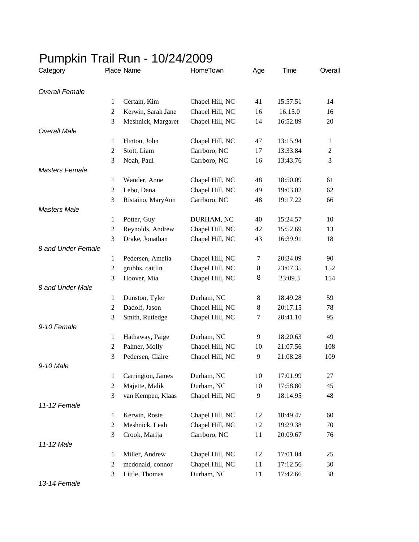| Category              |                  | Place Name         | HomeTown        | Age     | Time     | Overall        |
|-----------------------|------------------|--------------------|-----------------|---------|----------|----------------|
| <b>Overall Female</b> |                  |                    |                 |         |          |                |
|                       | $\mathbf{1}$     | Certain, Kim       | Chapel Hill, NC | 41      | 15:57.51 | 14             |
|                       | $\overline{2}$   | Kerwin, Sarah Jane | Chapel Hill, NC | 16      | 16:15.0  | 16             |
|                       | 3                | Meshnick, Margaret | Chapel Hill, NC | 14      | 16:52.89 | 20             |
| <b>Overall Male</b>   |                  |                    |                 |         |          |                |
|                       | $\mathbf{1}$     | Hinton, John       | Chapel Hill, NC | 47      | 13:15.94 | $\mathbf{1}$   |
|                       | $\overline{c}$   | Stott, Liam        | Carrboro, NC    | 17      | 13:33.84 | $\mathfrak{2}$ |
|                       | 3                | Noah, Paul         | Carrboro, NC    | 16      | 13:43.76 | 3              |
| <b>Masters Female</b> |                  |                    |                 |         |          |                |
|                       | $\mathbf{1}$     | Wander, Anne       | Chapel Hill, NC | 48      | 18:50.09 | 61             |
|                       | 2                | Lebo, Dana         | Chapel Hill, NC | 49      | 19:03.02 | 62             |
|                       | 3                | Ristaino, MaryAnn  | Carrboro, NC    | 48      | 19:17.22 | 66             |
| <b>Masters Male</b>   |                  |                    |                 |         |          |                |
|                       | $\mathbf{1}$     | Potter, Guy        | DURHAM, NC      | 40      | 15:24.57 | 10             |
|                       | 2                | Reynolds, Andrew   | Chapel Hill, NC | 42      | 15:52.69 | 13             |
|                       | 3                | Drake, Jonathan    | Chapel Hill, NC | 43      | 16:39.91 | 18             |
| 8 and Under Female    |                  |                    |                 |         |          |                |
|                       | 1                | Pedersen, Amelia   | Chapel Hill, NC | 7       | 20:34.09 | 90             |
|                       | $\mathfrak{2}$   | grubbs, caitlin    | Chapel Hill, NC | $\,8\,$ | 23:07.35 | 152            |
|                       | 3                | Hoover, Mia        | Chapel Hill, NC | 8       | 23:09.3  | 154            |
| 8 and Under Male      |                  |                    |                 |         |          |                |
|                       | 1                | Dunston, Tyler     | Durham, NC      | 8       | 18:49.28 | 59             |
|                       | 2                | Dadolf, Jason      | Chapel Hill, NC | 8       | 20:17.15 | 78             |
|                       | 3                | Smith, Rutledge    | Chapel Hill, NC | 7       | 20:41.10 | 95             |
| 9-10 Female           |                  |                    |                 |         |          |                |
|                       | $\mathbf{1}$     | Hathaway, Paige    | Durham, NC      | 9       | 18:20.63 | 49             |
|                       | 2                | Palmer, Molly      | Chapel Hill, NC | 10      | 21:07.56 | 108            |
|                       | 3                | Pedersen, Claire   | Chapel Hill, NC | 9       | 21:08.28 | 109            |
| 9-10 Male             |                  |                    |                 |         |          |                |
|                       | $\mathbf{1}$     | Carrington, James  | Durham, NC      | 10      | 17:01.99 | 27             |
|                       | $\boldsymbol{2}$ | Majette, Malik     | Durham, NC      | 10      | 17:58.80 | 45             |
|                       | 3                | van Kempen, Klaas  | Chapel Hill, NC | 9       | 18:14.95 | 48             |
| 11-12 Female          |                  |                    |                 |         |          |                |
|                       | $\mathbf{1}$     | Kerwin, Rosie      | Chapel Hill, NC | 12      | 18:49.47 | 60             |
|                       | $\overline{2}$   | Meshnick, Leah     | Chapel Hill, NC | 12      | 19:29.38 | 70             |
|                       | 3                | Crook, Marija      | Carrboro, NC    | 11      | 20:09.67 | 76             |
| 11-12 Male            |                  |                    |                 |         |          |                |
|                       | $\mathbf{1}$     | Miller, Andrew     | Chapel Hill, NC | 12      | 17:01.04 | 25             |
|                       | $\overline{2}$   | mcdonald, connor   | Chapel Hill, NC | 11      | 17:12.56 | 30             |
|                       | 3                | Little, Thomas     | Durham, NC      | 11      | 17:42.66 | 38             |

## Pumpkin Trail Run - 10/24/2009

*13-14 Female*